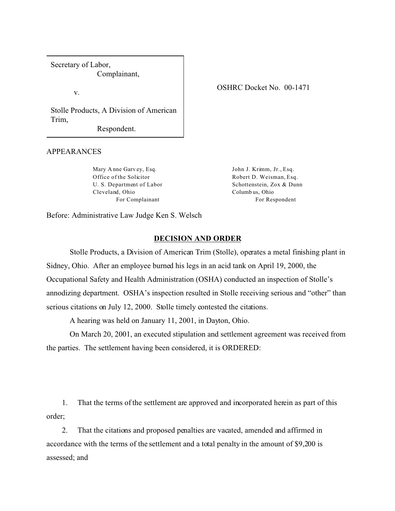Secretary of Labor, Complainant,

v.

Stolle Products, A Division of American Trim,

Respondent.

## APPEARANCES

Mary A nne Garv ey, Esq. Office of the Solicitor U. S. Department of Labor Cleveland, Ohio For Complainant

John J. Krimm, Jr., Esq. Robert D. Weisman, Esq. Schottenstein, Zox & Dunn Columb us, Ohio For Respondent

Before: Administrative Law Judge Ken S. Welsch

## **DECISION AND ORDER**

Stolle Products, a Division of American Trim (Stolle), operates a metal finishing plant in Sidney, Ohio. After an employee burned his legs in an acid tank on April 19, 2000, the Occupational Safety and Health Administration (OSHA) conducted an inspection of Stolle's annodizing department. OSHA's inspection resulted in Stolle receiving serious and "other" than serious citations on July 12, 2000. Stolle timely contested the citations.

A hearing was held on January 11, 2001, in Dayton, Ohio.

On March 20, 2001, an executed stipulation and settlement agreement was received from the parties. The settlement having been considered, it is ORDERED:

1. That the terms of the settlement are approved and incorporated herein as part of this order;

2. That the citations and proposed penalties are vacated, amended and affirmed in accordance with the terms of the settlement and a total penalty in the amount of \$9,200 is assessed; and

## OSHRC Docket No. 00-1471